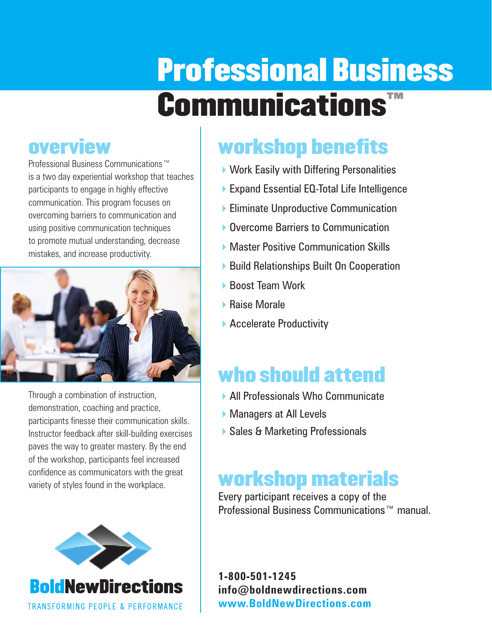# Professional Business Communications™

### **overview**

Professional Business Communications™ is a two day experiential workshop that teaches participants to engage in highly effective communication. This program focuses on overcoming barriers to communication and using positive communication techniques to promote mutual understanding, decrease mistakes, and increase productivity.



Through a combination of instruction, demonstration, coaching and practice, participants finesse their communication skills. Instructor feedback after skill-building exercises paves the way to greater mastery. By the end of the workshop, participants feel increased confidence as communicators with the great variety of styles found in the workplace.



**TRANSFORMING PEOPLE & PERFORMANCE** 

## workshop benefits

- ▶ Work Easily with Differing Personalities
- ▶ Expand Essential EQ-Total Life Intelligence
- ▶ Eliminate Unproductive Communication
- **Overcome Barriers to Communication**
- ▶ Master Positive Communication Skills
- ▶ Build Relationships Built On Cooperation
- ▶ Boost Team Work
- ▶ Raise Morale
- ▶ Accelerate Productivity

## who should attend

- ▶ All Professionals Who Communicate
- ▶ Managers at All Levels
- ▶ Sales & Marketing Professionals

## workshop materials

Every participant receives a copy of the Professional Business Communications™ manual.

**1-800-501-1245 info@boldnewdirections.com www.BoldNewDirections.com**